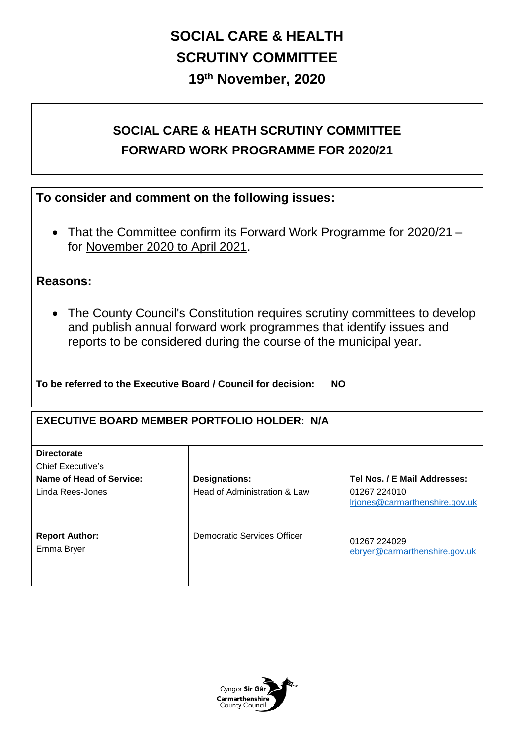# **SOCIAL CARE & HEALTH SCRUTINY COMMITTEE 19th November, 2020**

## **SOCIAL CARE & HEATH SCRUTINY COMMITTEE FORWARD WORK PROGRAMME FOR 2020/21**

### **To consider and comment on the following issues:**

• That the Committee confirm its Forward Work Programme for 2020/21 for November 2020 to April 2021.

#### **Reasons:**

 The County Council's Constitution requires scrutiny committees to develop and publish annual forward work programmes that identify issues and reports to be considered during the course of the municipal year.

**To be referred to the Executive Board / Council for decision: NO** 

#### **EXECUTIVE BOARD MEMBER PORTFOLIO HOLDER: N/A**

| <b>Directorate</b><br><b>Chief Executive's</b> |                              |                                                |
|------------------------------------------------|------------------------------|------------------------------------------------|
| Name of Head of Service:                       | <b>Designations:</b>         | Tel Nos. / E Mail Addresses:                   |
| Linda Rees-Jones                               | Head of Administration & Law | 01267 224010<br>Irjones@carmarthenshire.gov.uk |
| <b>Report Author:</b><br>Emma Bryer            | Democratic Services Officer  | 01267 224029<br>ebryer@carmarthenshire.gov.uk  |

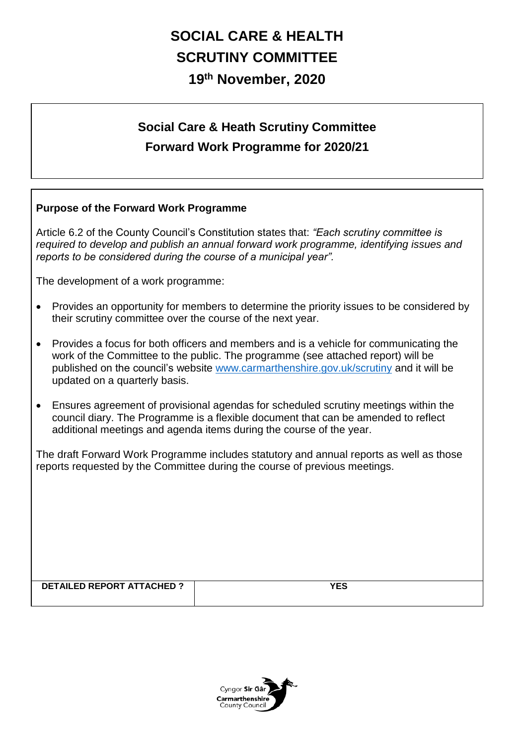# **SOCIAL CARE & HEALTH SCRUTINY COMMITTEE 19th November, 2020**

# **Social Care & Heath Scrutiny Committee Forward Work Programme for 2020/21**

#### **Purpose of the Forward Work Programme**

Article 6.2 of the County Council's Constitution states that: *"Each scrutiny committee is required to develop and publish an annual forward work programme, identifying issues and reports to be considered during the course of a municipal year".* 

The development of a work programme:

- Provides an opportunity for members to determine the priority issues to be considered by their scrutiny committee over the course of the next year.
- Provides a focus for both officers and members and is a vehicle for communicating the work of the Committee to the public. The programme (see attached report) will be published on the council's website [www.carmarthenshire.gov.uk/scrutiny](http://www.carmarthenshire.gov.uk/scrutiny) and it will be updated on a quarterly basis.
- Ensures agreement of provisional agendas for scheduled scrutiny meetings within the council diary. The Programme is a flexible document that can be amended to reflect additional meetings and agenda items during the course of the year.

The draft Forward Work Programme includes statutory and annual reports as well as those reports requested by the Committee during the course of previous meetings.

**DETAILED REPORT ATTACHED ? YES** 

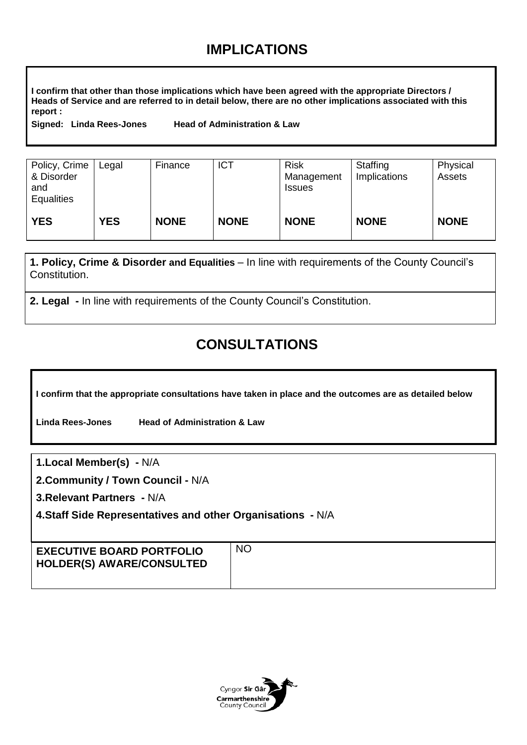## **IMPLICATIONS**

**I confirm that other than those implications which have been agreed with the appropriate Directors / Heads of Service and are referred to in detail below, there are no other implications associated with this report :**

**Signed: Linda Rees-Jones Head of Administration & Law** 

| Policy, Crime<br>& Disorder<br>and<br><b>Equalities</b> | Legal      | Finance     | <b>ICT</b>  | <b>Risk</b><br>Management<br><b>Issues</b> | Staffing<br>Implications | Physical<br>Assets |
|---------------------------------------------------------|------------|-------------|-------------|--------------------------------------------|--------------------------|--------------------|
| <b>YES</b>                                              | <b>YES</b> | <b>NONE</b> | <b>NONE</b> | <b>NONE</b>                                | <b>NONE</b>              | <b>NONE</b>        |

**1. Policy, Crime & Disorder and Equalities** – In line with requirements of the County Council's Constitution.

**2. Legal -** In line with requirements of the County Council's Constitution.

## **CONSULTATIONS**

**I confirm that the appropriate consultations have taken in place and the outcomes are as detailed below**

**Linda Rees-Jones Head of Administration & Law** 

**1.Local Member(s) -** N/A

**2.Community / Town Council -** N/A

**3.Relevant Partners -** N/A

**4.Staff Side Representatives and other Organisations -** N/A

| <b>EXECUTIVE BOARD PORTFOLIO</b><br><b>HOLDER(S) AWARE/CONSULTED</b> | <b>NO</b> |
|----------------------------------------------------------------------|-----------|
|----------------------------------------------------------------------|-----------|